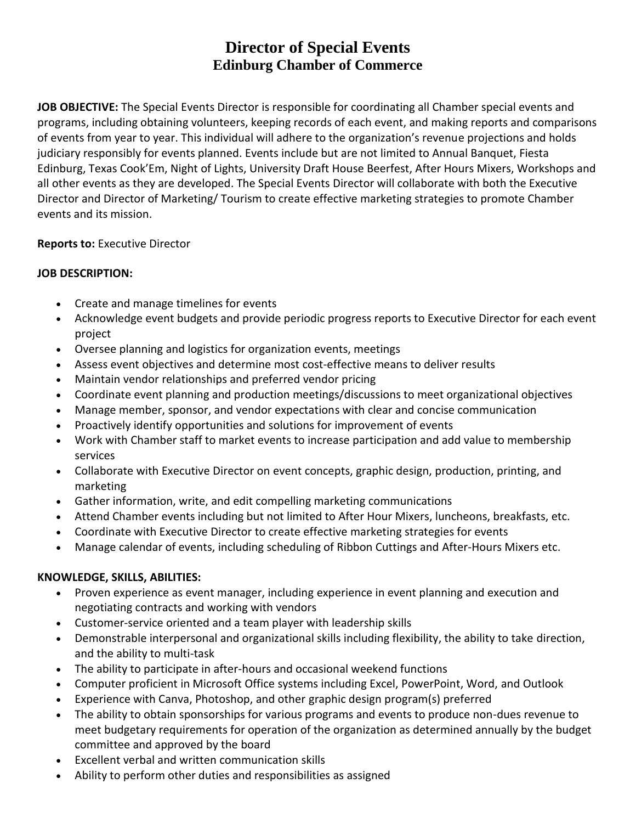# **Director of Special Events Edinburg Chamber of Commerce**

**JOB OBJECTIVE:** The Special Events Director is responsible for coordinating all Chamber special events and programs, including obtaining volunteers, keeping records of each event, and making reports and comparisons of events from year to year. This individual will adhere to the organization's revenue projections and holds judiciary responsibly for events planned. Events include but are not limited to Annual Banquet, Fiesta Edinburg, Texas Cook'Em, Night of Lights, University Draft House Beerfest, After Hours Mixers, Workshops and all other events as they are developed. The Special Events Director will collaborate with both the Executive Director and Director of Marketing/ Tourism to create effective marketing strategies to promote Chamber events and its mission.

# **Reports to:** Executive Director

### **JOB DESCRIPTION:**

- Create and manage timelines for events
- Acknowledge event budgets and provide periodic progress reports to Executive Director for each event project
- Oversee planning and logistics for organization events, meetings
- Assess event objectives and determine most cost-effective means to deliver results
- Maintain vendor relationships and preferred vendor pricing
- Coordinate event planning and production meetings/discussions to meet organizational objectives
- Manage member, sponsor, and vendor expectations with clear and concise communication
- Proactively identify opportunities and solutions for improvement of events
- Work with Chamber staff to market events to increase participation and add value to membership services
- Collaborate with Executive Director on event concepts, graphic design, production, printing, and marketing
- Gather information, write, and edit compelling marketing communications
- Attend Chamber events including but not limited to After Hour Mixers, luncheons, breakfasts, etc.
- Coordinate with Executive Director to create effective marketing strategies for events
- Manage calendar of events, including scheduling of Ribbon Cuttings and After-Hours Mixers etc.

#### **KNOWLEDGE, SKILLS, ABILITIES:**

- Proven experience as event manager, including experience in event planning and execution and negotiating contracts and working with vendors
- Customer-service oriented and a team player with leadership skills
- Demonstrable interpersonal and organizational skills including flexibility, the ability to take direction, and the ability to multi-task
- The ability to participate in after-hours and occasional weekend functions
- Computer proficient in Microsoft Office systems including Excel, PowerPoint, Word, and Outlook
- Experience with Canva, Photoshop, and other graphic design program(s) preferred
- The ability to obtain sponsorships for various programs and events to produce non-dues revenue to meet budgetary requirements for operation of the organization as determined annually by the budget committee and approved by the board
- Excellent verbal and written communication skills
- Ability to perform other duties and responsibilities as assigned